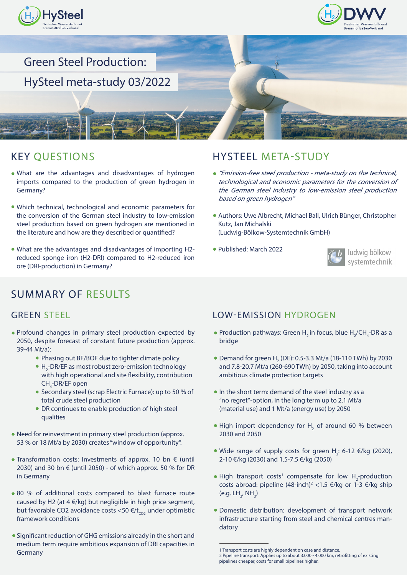





## KEY QUESTIONS

- What are the advantages and disadvantages of hydrogen imports compared to the production of green hydrogen in Germany?
- Which technical, technological and economic parameters for the conversion of the German steel industry to low-emission steel production based on green hydrogen are mentioned in the literature and how are they described or quantified?
- What are the advantages and disadvantages of importing H2 reduced sponge iron (H2-DRI) compared to H2-reduced iron ore (DRI-production) in Germany?

## SUMMARY OF RESULTS

- Profound changes in primary steel production expected by 2050, despite forecast of constant future production (approx. 39-44 Mt/a):
	- Phasing out BF/BOF due to tighter climate policy
	- H<sub>2</sub>-DR/EF as most robust zero-emission technology with high operational and site flexibility, contribution CH<sub>4</sub>-DR/EF open
	- Secondary steel (scrap Electric Furnace): up to 50 % of total crude steel production
	- DR continues to enable production of high steel qualities
- Need for reinvestment in primary steel production (approx. 53 % or 18 Mt/a by 2030) creates "window of opportunity".
- Transformation costs: Investments of approx. 10 bn € (until 2030) and 30 bn  $\epsilon$  (until 2050) - of which approx. 50 % for DR in Germany
- 80 % of additional costs compared to blast furnace route caused by H2 (at  $4 \in$ /kg) but negligible in high price segment, but favorable CO2 avoidance costs <50  $\epsilon/t_{CO}$  under optimistic framework conditions
- Significant reduction of GHG emissions already in the short and medium term require ambitious expansion of DRI capacities in Germany

## HYSTEEL META-STUDY

- "Emission-free steel production meta-study on the technical, technological and economic parameters for the conversion of the German steel industry to low-emission steel production based on green hydrogen"
- Authors: Uwe Albrecht, Michael Ball, Ulrich Bünger, Christopher Kutz, Jan Michalski (Ludwig-Bölkow-Systemtechnik GmbH)
- Published: March 2022



### GREEN STEEL **EXECUTE: LOW-EMISSION HYDROGEN**

- Production pathways: Green  $H_2$  in focus, blue  $H_2$ /CH<sub>4</sub>-DR as a bridge
- Demand for green  $H_2$  (DE): 0.5-3.3 Mt/a (18-110 TWh) by 2030 and 7.8-20.7 Mt/a (260-690 TWh) by 2050, taking into account ambitious climate protection targets
- In the short term: demand of the steel industry as a "no regret"-option, in the long term up to 2.1 Mt/a (material use) and 1 Mt/a (energy use) by 2050
- High import dependency for  $H<sub>2</sub>$  of around 60 % between 2030 and 2050
- Wide range of supply costs for green  $H_2$ : 6-12  $\epsilon$ /kg (2020), 2-10 €/kg (2030) and 1.5-7.5 €/kg (2050)
- High transport costs<sup>1</sup> compensate for low  $H_2$ -production costs abroad: pipeline (48-inch)<sup>2</sup> <1.5 €/kg or 1-3 €/kg ship (e.g.  $LH_2$ , NH<sub>3</sub>)
- Domestic distribution: development of transport network infrastructure starting from steel and chemical centres mandatory

<sup>1</sup> Transport costs are highly dependent on case and distance.

<sup>2</sup> Pipeline transport: Applies up to about 3.000 - 4.000 km, retrofitting of existing pipelines cheaper, costs for small pipelines higher.